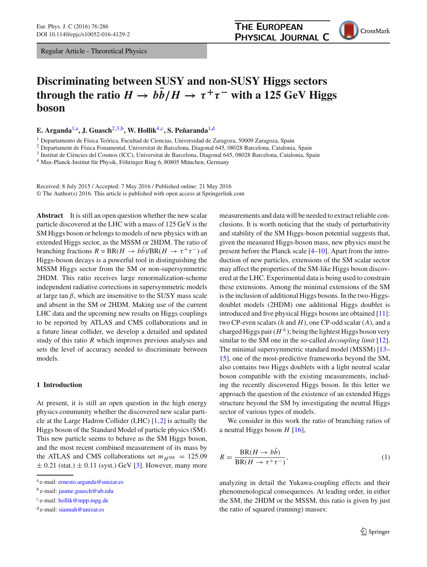Regular Article - Theoretical Physics



# **Discriminating between SUSY and non-SUSY Higgs sectors through the ratio**  $H \to bb/H \to \tau^+\tau^-$  with a 125 GeV Higgs **boson**

**E. Arganda**[1,](#page-0-0)a**, J. Guasch**[2](#page-0-0)[,3,](#page-0-1)b**, W. Hollik**[4,](#page-0-2)c**, S. Peñaranda**[1,](#page-0-0)d

<sup>1</sup> Departamento de Física Teórica, Facultad de Ciencias, Universidad de Zaragoza, 50009 Zaragoza, Spain

<sup>2</sup> Departament de Física Fonamental, Universitat de Barcelona, Diagonal 645, 08028 Barcelona, Catalonia, Spain

<sup>3</sup> Institut de Ciències del Cosmos (ICC), Universitat de Barcelona, Diagonal 645, 08028 Barcelona, Catalonia, Spain

<sup>4</sup> Max-Planck-Institut für Physik, Föhringer Ring 6, 80805 München, Germany

Received: 8 July 2015 / Accepted: 7 May 2016 / Published online: 21 May 2016 © The Author(s) 2016. This article is published with open access at Springerlink.com

**Abstract** It is still an open question whether the new scalar particle discovered at the LHC with a mass of 125 GeV is the SM Higgs boson or belongs to models of new physics with an extended Higgs sector, as the MSSM or 2HDM. The ratio of branching fractions  $R = BR(H \rightarrow bb)/BR(H \rightarrow \tau^+\tau^-)$  of Higgs-boson decays is a powerful tool in distinguishing the MSSM Higgs sector from the SM or non-supersymmetric 2HDM. This ratio receives large renormalization-scheme independent radiative corrections in supersymmetric models at large tan  $\beta$ , which are insensitive to the SUSY mass scale and absent in the SM or 2HDM. Making use of the current LHC data and the upcoming new results on Higgs couplings to be reported by ATLAS and CMS collaborations and in a future linear collider, we develop a detailed and updated study of this ratio *R* which improves previous analyses and sets the level of accuracy needed to discriminate between models.

## **1 Introduction**

At present, it is still an open question in the high energy physics community whether the discovered new scalar particle at the Large Hadron Collider (LHC) [\[1](#page-7-0)[,2](#page-7-1)] is actually the Higgs boson of the Standard Model of particle physics (SM). This new particle seems to behave as the SM Higgs boson, and the most recent combined measurement of its mass by the ATLAS and CMS collaborations set  $m<sub>H</sub>$ sm = 125.09  $\pm$  0.21 (stat.)  $\pm$  0.11 (syst.) GeV [\[3\]](#page-7-2). However, many more <span id="page-0-2"></span><span id="page-0-1"></span><span id="page-0-0"></span>measurements and data will be needed to extract reliable conclusions. It is worth noticing that the study of perturbativity and stability of the SM Higgs-boson potential suggests that, given the measured Higgs-boson mass, new physics must be present before the Planck scale [\[4](#page-7-3)[–10\]](#page-7-4). Apart from the introduction of new particles, extensions of the SM scalar sector may affect the properties of the SM-like Higgs boson discovered at the LHC. Experimental data is being used to constrain these extensions. Among the minimal extensions of the SM is the inclusion of additional Higgs bosons. In the two-Higgsdoublet models (2HDM) one additional Higgs doublet is introduced and five physical Higgs bosons are obtained [\[11](#page-7-5)]: two CP-even scalars (*h* and *H*), one CP-odd scalar (*A*), and a charged Higgs pair  $(H^{\pm})$ ; being the lightest Higgs boson very similar to the SM one in the so-called *decoupling limit* [\[12](#page-7-6)]. The minimal supersymmetric standard model (MSSM) [\[13](#page-7-7)– [15](#page-7-8)], one of the most-predictive frameworks beyond the SM, also contains two Higgs doublets with a light neutral scalar boson compatible with the existing measurements, including the recently discovered Higgs boson. In this letter we approach the question of the existence of an extended Higgs structure beyond the SM by investigating the neutral Higgs sector of various types of models.

We consider in this work the ratio of branching ratios of a neutral Higgs boson *H* [\[16\]](#page-7-9),

<span id="page-0-3"></span>
$$
R = \frac{\text{BR}(H \to b\bar{b})}{\text{BR}(H \to \tau^+ \tau^-)},\tag{1}
$$

analyzing in detail the Yukawa-coupling effects and their phenomenological consequences. At leading order, in either the SM, the 2HDM or the MSSM, this ratio is given by just the ratio of squared (running) masses:

<sup>a</sup> e-mail: [ernesto.arganda@unizar.es](mailto:ernesto.arganda@unizar.es)

<sup>&</sup>lt;sup>b</sup> e-mail: [jaume.guasch@ub.edu](mailto:jaume.guasch@ub.edu)

<sup>c</sup> e-mail: [hollik@mpp.mpg.de](mailto:hollik@mpp.mpg.de)

<sup>d</sup> e-mail: [siannah@unizar.es](mailto:siannah@unizar.es)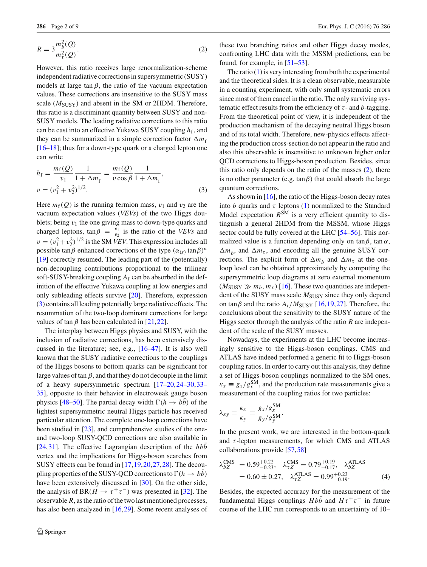<span id="page-1-1"></span>
$$
R = 3 \frac{m_b^2(Q)}{m_\tau^2(Q)}.
$$
\n<sup>(2)</sup>

However, this ratio receives large renormalization-scheme independent radiative corrections in supersymmetric (SUSY) models at large tan  $\beta$ , the ratio of the vacuum expectation values. These corrections are insensitive to the SUSY mass scale ( $M<sub>SUSY</sub>$ ) and absent in the SM or 2HDM. Therefore, this ratio is a discriminant quantity between SUSY and non-SUSY models. The leading radiative corrections to this ratio can be cast into an effective Yukawa SUSY coupling  $h_f$ , and they can be summarized in a simple correction factor  $\Delta m_f$ [\[16](#page-7-9)[–18](#page-7-10)]; thus for a down-type quark or a charged lepton one can write

<span id="page-1-0"></span>
$$
h_{\rm f} = \frac{m_{\rm f}(Q)}{v_1} \frac{1}{1 + \Delta m_{\rm f}} = \frac{m_{\rm f}(Q)}{v \cos \beta} \frac{1}{1 + \Delta m_{\rm f}},
$$
  

$$
v = (v_1^2 + v_2^2)^{1/2}.
$$
 (3)

Here  $m_f(Q)$  is the running fermion mass,  $v_1$  and  $v_2$  are the vacuum expectation values (*VEVs*) of the two Higgs doublets; being  $v_1$  the one giving mass to down-type quarks and charged leptons,  $tan \beta = \frac{v_1}{v_2}$  is the ratio of the *VEVs* and  $v = (v_1^2 + v_2^2)^{1/2}$  is the SM *VEV*. This expression includes all possible tan $\beta$  enhanced corrections of the type  $(\alpha_{(s)} \tan \beta)^n$ [\[19](#page-7-11)] correctly resumed. The leading part of the (potentially) non-decoupling contributions proportional to the trilinear soft-SUSY-breaking coupling *A*<sup>f</sup> can be absorbed in the definition of the effective Yukawa coupling at low energies and only subleading effects survive [\[20\]](#page-7-12). Therefore, expression [\(3\)](#page-1-0) contains all leading potentially large radiative effects. The resummation of the two-loop dominant corrections for large values of tan  $\beta$  has been calculated in [\[21](#page-7-13)[,22](#page-7-14)].

The interplay between Higgs physics and SUSY, with the inclusion of radiative corrections, has been extensively discussed in the literature; see, e.g., [\[16](#page-7-9)[–47](#page-7-15)]. It is also well known that the SUSY radiative corrections to the couplings of the Higgs bosons to bottom quarks can be significant for large values of tan  $\beta$ , and that they do not decouple in the limit of a heavy supersymmetric spectrum [\[17](#page-7-16)[–20](#page-7-12)[,24](#page-7-17)[–30](#page-7-18)[,33](#page-7-19)– [35\]](#page-7-20), opposite to their behavior in electroweak gauge boson physics [\[48](#page-7-21)[–50\]](#page-7-22). The partial decay width  $\Gamma(h \to bb)$  of the lightest supersymmetric neutral Higgs particle has received particular attention. The complete one-loop corrections have been studied in [\[23\]](#page-7-23), and comprehensive studies of the oneand two-loop SUSY-QCD corrections are also available in [\[24](#page-7-17),[31\]](#page-7-24). The effective Lagrangian description of the *hbb* vertex and the implications for Higgs-boson searches from SUSY effects can be found in [\[17](#page-7-16),[19,](#page-7-11)[20](#page-7-12)[,27](#page-7-25)[,28](#page-7-26)]. The decoupling properties of the SUSY-QCD corrections to  $\Gamma(h \to bb)$ have been extensively discussed in [\[30\]](#page-7-18). On the other side, the analysis of BR( $H \to \tau^+\tau^-$ ) was presented in [\[32](#page-7-27)]. The observable *R*, as the ratio of the two last mentioned processes, has also been analyzed in [\[16,](#page-7-9)[29\]](#page-7-28). Some recent analyses of

these two branching ratios and other Higgs decay modes, confronting LHC data with the MSSM predictions, can be found, for example, in [\[51](#page-7-29)[–53\]](#page-7-30).

The ratio  $(1)$  is very interesting from both the experimental and the theoretical sides. It is a clean observable, measurable in a counting experiment, with only small systematic errors since most of them cancel in the ratio. The only surviving systematic effect results from the efficiency of  $\tau$ - and *b*-tagging. From the theoretical point of view, it is independent of the production mechanism of the decaying neutral Higgs boson and of its total width. Therefore, new-physics effects affecting the production cross-section do not appear in the ratio and also this observable is insensitive to unknown higher order QCD corrections to Higgs-boson production. Besides, since this ratio only depends on the ratio of the masses  $(2)$ , there is no other parameter (e.g.  $tan \beta$ ) that could absorb the large quantum corrections.

As shown in [\[16](#page-7-9)], the ratio of the Higgs-boson decay rates into *b* quarks and  $\tau$  leptons [\(1\)](#page-0-3) normalized to the Standard Model expectation  $R^{SM}$  is a very efficient quantity to distinguish a general 2HDM from the MSSM, whose Higgs sector could be fully covered at the LHC [\[54](#page-7-31)[–56](#page-7-32)]. This normalized value is a function depending only on  $tan \beta$ ,  $tan \alpha$ ,  $\Delta m_b$ , and  $\Delta m_{\tau}$ , and encoding all the genuine SUSY corrections. The explicit form of  $\Delta m_h$  and  $\Delta m_{\tau}$  at the oneloop level can be obtained approximately by computing the supersymmetric loop diagrams at zero external momentum  $(M_{SUSY} \gg m_b, m_\tau)$  [\[16](#page-7-9)]. These two quantities are independent of the SUSY mass scale  $M_{\text{SUSY}}$  since they only depend on tan $\beta$  and the ratio  $A_t/M_{\text{SUSY}}$  [\[16](#page-7-9)[,19](#page-7-11)[,27](#page-7-25)]. Therefore, the conclusions about the sensitivity to the SUSY nature of the Higgs sector through the analysis of the ratio *R* are independent of the scale of the SUSY masses.

Nowadays, the experiments at the LHC become increasingly sensitive to the Higgs-boson couplings. CMS and ATLAS have indeed performed a generic fit to Higgs-boson coupling ratios. In order to carry out this analysis, they define a set of Higgs-boson couplings normalized to the SM ones,  $\kappa_x \equiv g_x/g_x^{\text{SM}}$ , and the production rate measurements give a measurement of the coupling ratios for two particles:

$$
\lambda_{xy} \equiv \frac{\kappa_x}{\kappa_y} \equiv \frac{g_x/g_x^{\rm SM}}{g_y/g_y^{\rm SM}}.
$$

In the present work, we are interested in the bottom-quark and  $\tau$ -lepton measurements, for which CMS and ATLAS collaborations provide [\[57](#page-8-0)[,58](#page-8-1)]

<span id="page-1-2"></span>
$$
\lambda_{bZ}^{\text{CMS}} = 0.59_{-0.23}^{+0.22}, \quad \lambda_{\tau Z}^{\text{CMS}} = 0.79_{-0.17}^{+0.19}, \quad \lambda_{bZ}^{\text{ATLAS}} = 0.60 \pm 0.27, \quad \lambda_{\tau Z}^{\text{ATLAS}} = 0.99_{-0.19}^{+0.23}.
$$
\n(4)

Besides, the expected accuracy for the measurement of the fundamental Higgs couplings  $H b \bar{b}$  and  $H \tau^+ \tau^-$  in future course of the LHC run corresponds to an uncertainty of 10–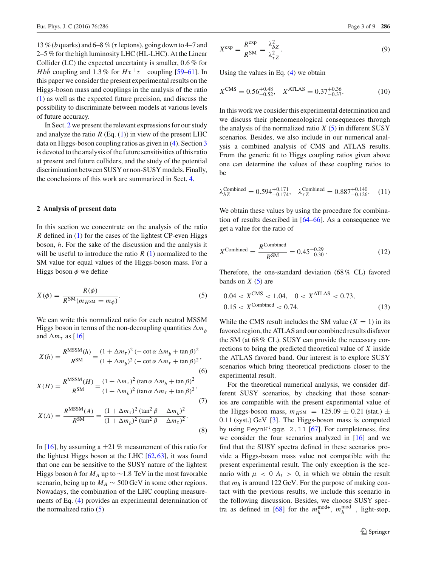13 % (*b* quarks) and 6–8 % ( $\tau$  leptons), going down to 4–7 and 2–5 % for the high luminosity LHC (HL-LHC). At the Linear Collider (LC) the expected uncertainty is smaller, 0.6 % for *Hbb* coupling and 1.3 % for  $H\tau^+\tau^-$  coupling [\[59](#page-8-2)[–61\]](#page-8-3). In this paper we consider the present experimental results on the Higgs-boson mass and couplings in the analysis of the ratio [\(1\)](#page-0-3) as well as the expected future precision, and discuss the possibility to discriminate between models at various levels of future accuracy.

In Sect. [2](#page-2-0) we present the relevant expressions for our study and analyze the ratio  $R$  (Eq. [\(1\)](#page-0-3)) in view of the present LHC data on Higgs-boson coupling ratios as given in [\(4\)](#page-1-2). Section [3](#page-4-0) is devoted to the analysis of the future sensitivities of this ratio at present and future colliders, and the study of the potential discrimination between SUSY or non-SUSY models. Finally, the conclusions of this work are summarized in Sect. [4.](#page-6-0)

## <span id="page-2-0"></span>**2 Analysis of present data**

In this section we concentrate on the analysis of the ratio *R* defined in [\(1\)](#page-0-3) for the cases of the lightest CP-even Higgs boson, *h*. For the sake of the discussion and the analysis it will be useful to introduce the ratio  $R(1)$  $R(1)$  normalized to the SM value for equal values of the Higgs-boson mass. For a Higgs boson  $\phi$  we define

<span id="page-2-1"></span>
$$
X(\phi) = \frac{R(\phi)}{R^{SM}(m_{H^{SM}} = m_{\phi})}.
$$
\n(5)

We can write this normalized ratio for each neutral MSSM Higgs boson in terms of the non-decoupling quantities  $\Delta m_h$ and  $\Delta m_{\tau}$  as [\[16](#page-7-9)]

<span id="page-2-3"></span>
$$
X(h) = \frac{R^{\text{MSSM}}(h)}{R^{\text{SM}}} = \frac{(1 + \Delta m_{\tau})^2 (-\cot \alpha \Delta m_b + \tan \beta)^2}{(1 + \Delta m_b)^2 (-\cot \alpha \Delta m_{\tau} + \tan \beta)^2},
$$
(6)

$$
X(H) = \frac{R^{\text{MSSM}}(H)}{R^{\text{SM}}} = \frac{(1 + \Delta m_{\tau})^2 (\tan \alpha \Delta m_b + \tan \beta)^2}{(1 + \Delta m_b)^2 (\tan \alpha \Delta m_{\tau} + \tan \beta)^2},
$$
\n(7)

$$
X(A) = \frac{R^{\text{MSSM}}(A)}{R^{\text{SM}}} = \frac{(1 + \Delta m_{\tau})^2 (\tan^2 \beta - \Delta m_b)^2}{(1 + \Delta m_b)^2 (\tan^2 \beta - \Delta m_{\tau})^2}.
$$
\n(8)

In [\[16](#page-7-9)], by assuming a  $\pm 21\%$  measurement of this ratio for the lightest Higgs boson at the LHC [\[62](#page-8-4)[,63](#page-8-5)], it was found that one can be sensitive to the SUSY nature of the lightest Higgs boson *h* for  $M_A$  up to ~1.8 TeV in the most favorable scenario, being up to  $M_A \sim 500$  GeV in some other regions. Nowadays, the combination of the LHC coupling measurements of Eq. [\(4\)](#page-1-2) provides an experimental determination of the normalized ratio  $(5)$ 

$$
X^{\exp} = \frac{R^{\exp}}{R^{\text{SM}}} = \frac{\lambda_{bZ}^2}{\lambda_{\tau Z}^2}.
$$
\n(9)

Using the values in Eq. [\(4\)](#page-1-2) we obtain

$$
X^{\text{CMS}} = 0.56^{+0.48}_{-0.52}, \quad X^{\text{ATLAS}} = 0.37^{+0.36}_{-0.37}.
$$
 (10)

In this work we consider this experimental determination and we discuss their phenomenological consequences through the analysis of the normalized ratio  $X(5)$  $X(5)$  in different SUSY scenarios. Besides, we also include in our numerical analysis a combined analysis of CMS and ATLAS results. From the generic fit to Higgs coupling ratios given above one can determine the values of these coupling ratios to be

$$
\lambda_{bZ}^{\text{Combined}} = 0.594_{-0.174}^{+0.171}, \quad \lambda_{\tau Z}^{\text{Combined}} = 0.887_{-0.126}^{+0.140}. \quad (11)
$$

We obtain these values by using the procedure for combination of results described in [\[64](#page-8-6)[–66\]](#page-8-7). As a consequence we get a value for the ratio of

$$
X^{\text{Combined}} = \frac{R^{\text{Combined}}}{R^{\text{SM}}} = 0.45^{+0.29}_{-0.30}.
$$
 (12)

Therefore, the one-standard deviation (68 % CL) favored bands on  $X(5)$  $X(5)$  are

<span id="page-2-2"></span>
$$
0.04 < X^{\text{CMS}} < 1.04, \quad 0 < X^{\text{ATLAS}} < 0.73, \\
0.15 < X^{\text{Combined}} < 0.74. \tag{13}
$$

While the CMS result includes the SM value  $(X = 1)$  in its favored region, the ATLAS and our combined results disfavor the SM (at 68 % CL). SUSY can provide the necessary corrections to bring the predicted theoretical value of *X* inside the ATLAS favored band. Our interest is to explore SUSY scenarios which bring theoretical predictions closer to the experimental result.

For the theoretical numerical analysis, we consider different SUSY scenarios, by checking that those scenarios are compatible with the present experimental value of the Higgs-boson mass,  $m_{HSM}$  = 125.09  $\pm$  0.21 (stat.)  $\pm$ 0.11 (syst.) GeV [\[3\]](#page-7-2). The Higgs-boson mass is computed by using FeynHiggs 2.11 [\[67\]](#page-8-8). For completeness, first we consider the four scenarios analyzed in [\[16\]](#page-7-9) and we find that the SUSY spectra defined in these scenarios provide a Higgs-boson mass value not compatible with the present experimental result. The only exception is the scenario with  $\mu$  < 0  $A_t$  > 0, in which we obtain the result that  $m_h$  is around 122 GeV. For the purpose of making contact with the previous results, we include this scenario in the following discussion. Besides, we choose SUSY spec-tra as defined in [\[68](#page-8-9)] for the  $m_h^{\text{mod}+}$ ,  $m_h^{\text{mod}-}$ , light-stop,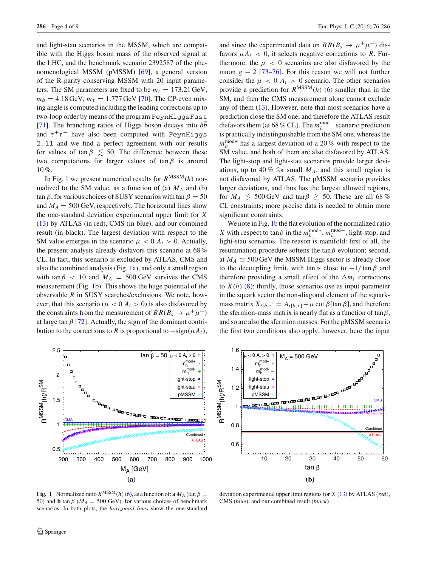and light-stau scenarios in the MSSM, which are compatible with the Higgs boson mass of the observed signal at the LHC, and the benchmark scenario 2392587 of the phenomenological MSSM (pMSSM) [\[69\]](#page-8-10), a general version of the R-parity conserving MSSM with 20 input parameters. The SM parameters are fixed to be  $m_t = 173.21 \text{ GeV}$ ,  $m_b = 4.18 \,\text{GeV}, m_\tau = 1.777 \,\text{GeV}$  [\[70\]](#page-8-11). The CP-even mixing angle is computed including the leading corrections up to two-loop order by means of the program FeynHiggsFast [\[71](#page-8-12)]. The branching ratios of Higgs boson decays into *bb* and  $\tau^+\tau^-$  have also been computed with FeynHiggs 2.11 and we find a perfect agreement with our results for values of tan  $\beta \leq 50$ . The difference between these two computations for larger values of tan  $\beta$  is around 10 %.

In Fig. [1](#page-3-0) we present numerical results for *R*MSSM(*h*) normalized to the SM value, as a function of (a)  $M_A$  and (b) tan  $\beta$ , for various choices of SUSY scenarios with tan  $\beta = 50$ and  $M_A = 500$  GeV, respectively. The horizontal lines show the one-standard deviation experimental upper limit for *X* [\(13\)](#page-2-2) by ATLAS (in red), CMS (in blue), and our combined result (in black). The largest deviation with respect to the SM value emerges in the scenario  $\mu < 0$   $A_t > 0$ . Actually, the present analysis already disfavors this scenario at 68 % CL. In fact, this scenario is excluded by ATLAS, CMS and also the combined analysis (Fig. [1a](#page-3-0)), and only a small region with tan $\beta$  < 10 and  $M_A$  = 500 GeV survives the CMS measurement (Fig. [1b](#page-3-0)). This shows the huge potential of the observable *R* in SUSY searches/exclusions. We note, however, that this scenario ( $\mu < 0$   $A_t > 0$ ) is also disfavored by the constraints from the measurement of  $BR(B_s \to \mu^+ \mu^-)$ at large tan  $\beta$  [\[72](#page-8-13)]. Actually, the sign of the dominant contribution to the corrections to *R* is proportional to  $-\text{sign}(\mu A_t)$ ,



and since the experimental data on  $BR(B_s \to \mu^+ \mu^-)$  disfavors  $\mu A_t$  < 0, it selects negative corrections to *R*. Furthermore, the  $\mu$  < 0 scenarios are also disfavored by the muon  $g - 2$  [\[73](#page-8-14)[–76\]](#page-8-15). For this reason we will not further consider the  $\mu$  < 0  $A_t$  > 0 scenario. The other scenarios provide a prediction for  $R^{MSSM}(h)$  [\(6\)](#page-2-3) smaller than in the SM, and then the CMS measurement alone cannot exclude any of them  $(13)$ . However, note that most scenarios have a prediction close the SM one, and therefore the ATLAS result disfavors them (at 68 % CL). The  $m_h^{\text{mod}-}$  scenario prediction is practically indistinguishable from the SM one, whereas the  $m_h^{\text{mod+}}$  has a largest deviation of a 20 % with respect to the SM value, and both of them are also disfavored by ATLAS. The light-stop and light-stau scenarios provide larger deviations, up to 40 % for small  $M_A$ , and this small region is not disfavored by ATLAS. The pMSSM scenario provides larger deviations, and thus has the largest allowed regions, for  $M_A \leq 500$  GeV and tan $\beta \geq 50$ . These are all 68% CL constraints; more precise data is needed to obtain more significant constraints.

We note in Fig. [1b](#page-3-0) the flat evolution of the normalized ratio *X* with respect to tan  $\beta$  in the  $m_h^{\text{mod}+}$ ,  $m_h^{\text{mod}-}$ , light-stop, and light-stau scenarios. The reason is manifold: first of all, the resummation procedure softens the tan $\beta$  evolution; second, at  $M_A \simeq 500$  GeV the MSSM Higgs sector is already close to the decoupling limit, with tan  $\alpha$  close to  $-1/\tan \beta$  and therefore providing a small effect of the  $\Delta m_f$  corrections to  $X(h)$  [\(8\)](#page-2-3); thirdly, those scenarios use as input parameter in the squark sector the non-diagonal element of the squarkmass matrix  $X_{t[b,\tau]} = A_{t[b,\tau]} - \mu \cot \beta \tan \beta$ , and therefore the sfermion-mass matrix is nearly flat as a function of  $tan \beta$ , and so are also the sfermion masses. For the pMSSM scenario the first two conditions also apply; however, here the input



<span id="page-3-0"></span>**Fig. 1** Normalized ratio  $X^{MSSM}(h)$  [\(6\)](#page-2-3), as a function of: **a**  $M_A$  (tan  $\beta =$ 50) and **b** tan  $\beta$  ( $M_A$  = 500 GeV), for various choices of benchmark scenarios. In both plots, the *horizontal lines* show the one-standard

deviation experimental upper limit regions for *X* [\(13\)](#page-2-2) by ATLAS (*red*), CMS (*blue*), and our combined result (*black*)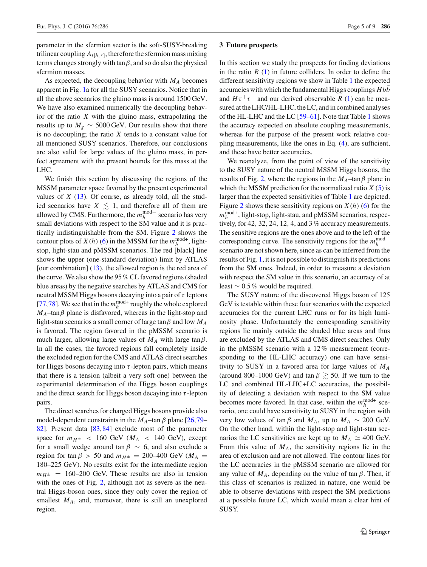parameter in the sfermion sector is the soft-SUSY-breaking trilinear coupling  $A_{t[b,\tau]}$ , therefore the sfermion mass mixing terms changes strongly with  $\tan \beta$ , and so do also the physical sfermion masses.

As expected, the decoupling behavior with *MA* becomes apparent in Fig. [1a](#page-3-0) for all the SUSY scenarios. Notice that in all the above scenarios the gluino mass is around 1500 GeV. We have also examined numerically the decoupling behavior of the ratio *X* with the gluino mass, extrapolating the results up to  $M_g \sim 5000 \,\text{GeV}$ . Our results show that there is no decoupling; the ratio *X* tends to a constant value for all mentioned SUSY scenarios. Therefore, our conclusions are also valid for large values of the gluino mass, in perfect agreement with the present bounds for this mass at the LHC.

We finish this section by discussing the regions of the MSSM parameter space favored by the present experimental values of *X* [\(13\)](#page-2-2). Of course, as already told, all the studied scenarios have  $X \leq 1$ , and therefore all of them are allowed by CMS. Furthermore, the  $m_h^{\text{mod}-}$  scenario has very small deviations with respect to the SM value and it is practically indistinguishable from the SM. Figure [2](#page-5-0) shows the contour plots of *X*(*h*) [\(6\)](#page-2-3) in the MSSM for the  $m_h^{\text{mod}+}$ , lightstop, light-stau and pMSSM scenarios. The red [black] line shows the upper (one-standard deviation) limit by ATLAS [our combination] [\(13\)](#page-2-2), the allowed region is the red area of the curve. We also show the 95 % CL favored regions (shaded blue areas) by the negative searches by ATLAS and CMS for neutral MSSM Higgs bosons decaying into a pair of  $\tau$  leptons [\[77](#page-8-16),[78\]](#page-8-17). We see that in the  $m_h^{\text{mod}+}$  roughly the whole explored  $M_A$ –tan $\beta$  plane is disfavored, whereas in the light-stop and light-stau scenarios a small corner of large tan $\beta$  and low  $M_A$ is favored. The region favored in the pMSSM scenario is much larger, allowing large values of  $M_A$  with large tan $\beta$ . In all the cases, the favored regions fall completely inside the excluded region for the CMS and ATLAS direct searches for Higgs bosons decaying into  $\tau$ -lepton pairs, which means that there is a tension (albeit a very soft one) between the experimental determination of the Higgs boson couplings and the direct search for Higgs boson decaying into  $\tau$ -lepton pairs.

The direct searches for charged Higgs bosons provide also model-dependent constraints in the  $M_A$ –tan  $\beta$  plane [\[26](#page-7-33)[,79](#page-8-18)– [82\]](#page-8-19). Present data [\[83,](#page-8-20)[84\]](#page-8-21) exclude most of the parameter space for  $m_{H^{\pm}}$  < 160 GeV ( $M_A$  < 140 GeV), except for a small wedge around tan  $\beta \sim 6$ , and also exclude a region for tan  $\beta$  > 50 and  $m_{H^{\pm}}$  = 200–400 GeV ( $M_A$  = 180–225 GeV). No results exist for the intermediate region  $m_{H^{\pm}}$  = 160–200 GeV. These results are also in tension with the ones of Fig. [2,](#page-5-0) although not as severe as the neutral Higgs-boson ones, since they only cover the region of smallest  $M_A$ , and, moreover, there is still an unexplored region.

#### <span id="page-4-0"></span>**3 Future prospects**

In this section we study the prospects for finding deviations in the ratio  $R(1)$  $R(1)$  in future colliders. In order to define the different sensitivity regions we show in Table [1](#page-5-1) the expected accuracies with which the fundamental Higgs couplings  $H b\bar{b}$ and  $H\tau^+\tau^-$  and our derived observable *R* [\(1\)](#page-0-3) can be measured at the LHC/HL-LHC, the LC, and in combined analyses of the HL-LHC and the LC [\[59](#page-8-2)[–61\]](#page-8-3). Note that Table [1](#page-5-1) shows the accuracy expected on absolute coupling measurements, whereas for the purpose of the present work relative coupling measurements, like the ones in Eq. [\(4\)](#page-1-2), are sufficient, and these have better accuracies.

We reanalyze, from the point of view of the sensitivity to the SUSY nature of the neutral MSSM Higgs bosons, the results of Fig. [2,](#page-5-0) where the regions in the  $M_A$ –tan $\beta$  plane in which the MSSM prediction for the normalized ratio *X* [\(5\)](#page-2-1) is larger than the expected sensitivities of Table [1](#page-5-1) are depicted. Figure [2](#page-5-0) shows these sensitivity regions on  $X(h)$  [\(6\)](#page-2-3) for the  $m_h^{\text{mod}+}$ , light-stop, light-stau, and pMSSM scenarios, respectively, for 42, 32, 24, 12, 4, and 3 % accuracy measurements. The sensitive regions are the ones above and to the left of the corresponding curve. The sensitivity regions for the  $m_h^{\text{mod}-}$ scenario are not shown here, since as can be inferred from the results of Fig. [1,](#page-3-0) it is not possible to distinguish its predictions from the SM ones. Indeed, in order to measure a deviation with respect the SM value in this scenario, an accuracy of at least ∼ 0.5 % would be required.

The SUSY nature of the discovered Higgs boson of 125 GeV is testable within these four scenarios with the expected accuracies for the current LHC runs or for its high luminosity phase. Unfortunately the corresponding sensitivity regions lie mainly outside the shaded blue areas and thus are excluded by the ATLAS and CMS direct searches. Only in the pMSSM scenario with a 12 % measurement (corresponding to the HL-LHC accuracy) one can have sensitivity to SUSY in a favored area for large values of *MA* (around 800–1000 GeV) and tan  $\beta \gtrsim 50$ . If we turn to the LC and combined HL-LHC+LC accuracies, the possibility of detecting a deviation with respect to the SM value becomes more favored. In that case, within the  $m_h^{\text{mod}+}$  scenario, one could have sensitivity to SUSY in the region with very low values of  $\tan \beta$  and  $M_A$ , up to  $M_A \sim 200$  GeV. On the other hand, within the light-stop and light-stau scenarios the LC sensitivities are kept up to  $M_A \simeq 400$  GeV. From this value of  $M_A$ , the sensitivity regions lie in the area of exclusion and are not allowed. The contour lines for the LC accuracies in the pMSSM scenario are allowed for any value of  $M_A$ , depending on the value of tan  $\beta$ . Then, if this class of scenarios is realized in nature, one would be able to observe deviations with respect the SM predictions at a possible future LC, which would mean a clear hint of SUSY.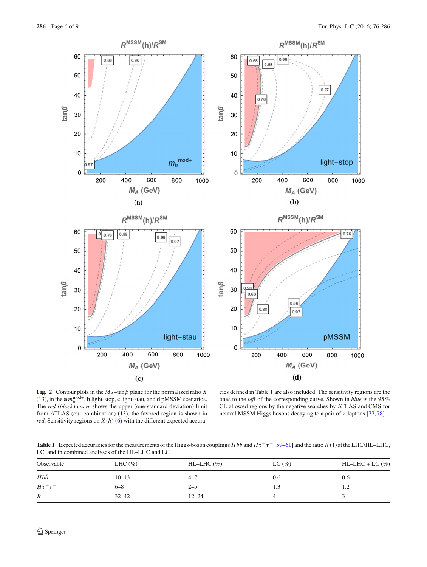

<span id="page-5-0"></span>**Fig. 2** Contour plots in the  $M_A$ –tan $\beta$  plane for the normalized ratio *X* [\(13\)](#page-2-2), in the **a**  $m_h^{\text{mod+}}$ , **b** light-stop, **c** light-stau, and **d** pMSSM scenarios. The *red* (*black*) *curve* shows the upper (one-standard deviation) limit from ATLAS (our combination) [\(13\)](#page-2-2), the favored region is shown in *red*. Sensitivity regions on  $X(h)$  [\(6\)](#page-2-3) with the different expected accura-

cies defined in Table [1](#page-5-1) are also included. The sensitivity regions are the ones to the *left* of the corresponding curve. Shown in *blue* is the 95 % CL allowed regions by the negative searches by ATLAS and CMS for neutral MSSM Higgs bosons decaying to a pair of  $\tau$  leptons [\[77,](#page-8-16)[78](#page-8-17)]

**Table 1** Expected accuracies for the measurements of the Higgs-boson couplings  $Hb\bar{b}$  and  $H\tau^+\tau^-$  [\[59](#page-8-2)[–61\]](#page-8-3) and the ratio *R* [\(1\)](#page-0-3) at the LHC/HL–LHC, LC, and in combined analyses of the HL–LHC and LC

<span id="page-5-1"></span>

| Observable       | LHC $(\%)$ | $HL-LHC(\%)$ | $LC \left( % \right)$ | $HL-LHC + LC$ (%) |
|------------------|------------|--------------|-----------------------|-------------------|
| $Hb\bar{b}$      | $10 - 13$  | $4 - 7$      | 0.6                   | 0.6               |
| $H\tau^+\tau^-$  | $6 - 8$    | $2 - 5$      | 1.3                   | 1.4               |
| $\boldsymbol{R}$ | $32 - 42$  | $12 - 24$    |                       |                   |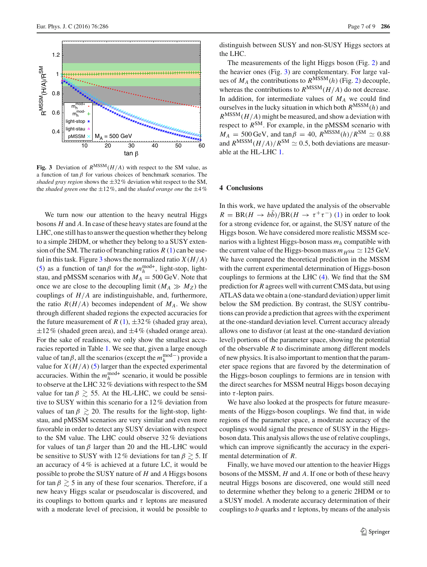

<span id="page-6-1"></span>**Fig. 3** Deviation of  $R^{MSSM}(H/A)$  with respect to the SM value, as a function of tan  $\beta$  for various choices of benchmark scenarios. The *shaded gray region* shows the ±32 % deviation whit respect to the SM, the *shaded green one* the ±12 %, and the *shaded orange one* the ±4 %

We turn now our attention to the heavy neutral Higgs bosons *H* and *A*. In case of these heavy states are found at the LHC, one still has to answer the question whether they belong to a simple 2HDM, or whether they belong to a SUSY extension of the SM. The ratio of branching ratios  $R(1)$  $R(1)$  can be use-ful in this task. Figure [3](#page-6-1) shows the normalized ratio  $X(H/A)$ [\(5\)](#page-2-1) as a function of  $\tan \beta$  for the  $m_h^{\text{mod}+}$ , light-stop, lightstau, and pMSSM scenarios with  $M_A = 500$  GeV. Note that once we are close to the decoupling limit  $(M_A \gg M_Z)$  the couplings of *H*/*A* are indistinguishable, and, furthermore, the ratio  $R(H/A)$  becomes independent of  $M_A$ . We show through different shaded regions the expected accuracies for the future measurement of *R* [\(1\)](#page-0-3),  $\pm 32\%$  (shaded gray area),  $\pm 12\%$  (shaded green area), and  $\pm 4\%$  (shaded orange area). For the sake of readiness, we only show the smallest accuracies reported in Table [1.](#page-5-1) We see that, given a large enough value of tan $\beta$ , all the scenarios (except the  $m_h^{\text{mod}-}$ ) provide a value for  $X(H/A)$  [\(5\)](#page-2-1) larger than the expected experimental accuracies. Within the  $m_h^{\text{mod}+}$  scenario, it would be possible to observe at the LHC 32 % deviations with respect to the SM value for tan  $\beta \geq 55$ . At the HL-LHC, we could be sensitive to SUSY within this scenario for a 12 % deviation from values of tan  $\beta \geq 20$ . The results for the light-stop, lightstau, and pMSSM scenarios are very similar and even more favorable in order to detect any SUSY deviation with respect to the SM value. The LHC could observe 32 % deviations for values of tan  $\beta$  larger than 20 and the HL-LHC would be sensitive to SUSY with 12 % deviations for tan  $\beta \gtrsim 5$ . If an accuracy of  $4\%$  is achieved at a future LC, it would be possible to probe the SUSY nature of *H* and *A* Higgs bosons for tan  $\beta \ge 5$  in any of these four scenarios. Therefore, if a new heavy Higgs scalar or pseudoscalar is discovered, and its couplings to bottom quarks and  $\tau$  leptons are measured with a moderate level of precision, it would be possible to distinguish between SUSY and non-SUSY Higgs sectors at the LHC.

The measurements of the light Higgs boson (Fig. [2\)](#page-5-0) and the heavier ones (Fig. [3\)](#page-6-1) are complementary. For large values of  $M_A$  the contributions to  $R^{\overline{M}SSM}(h)$  (Fig. [2\)](#page-5-0) decouple, whereas the contributions to  $R^{MSSM}(H/A)$  do not decrease. In addition, for intermediate values of *MA* we could find ourselves in the lucky situation in which both  $R^{MSSM}(h)$  and  $R^{\text{MSSM}}(H/A)$  might be measured, and show a deviation with respect to  $R^{SM}$ . For example, in the pMSSM scenario with  $M_A = 500 \,\text{GeV}$ , and  $\tan \beta = 40$ ,  $R^{\text{MSSM}}(h)/R^{\text{SM}} \simeq 0.88$ and  $R^{MSSM}(H/A)/R^{SM} \simeq 0.5$ , both deviations are measurable at the HL-LHC [1.](#page-5-1)

### <span id="page-6-0"></span>**4 Conclusions**

In this work, we have updated the analysis of the observable  $R = BR(H \rightarrow b\bar{b})/BR(H \rightarrow \tau^+\tau^-)$  [\(1\)](#page-0-3) in order to look for a strong evidence for, or against, the SUSY nature of the Higgs boson. We have considered more realistic MSSM scenarios with a lightest Higgs-boson mass *mh* compatible with the current value of the Higgs-boson mass  $m_H$ <sub>SM</sub>  $\simeq$  125 GeV. We have compared the theoretical prediction in the MSSM with the current experimental determination of Higgs-boson couplings to fermions at the LHC [\(4\)](#page-1-2). We find that the SM prediction for *R* agrees well with current CMS data, but using ATLAS data we obtain a (one-standard deviation) upper limit below the SM prediction. By contrast, the SUSY contributions can provide a prediction that agrees with the experiment at the one-standard deviation level. Current accuracy already allows one to disfavor (at least at the one-standard deviation level) portions of the parameter space, showing the potential of the observable *R* to discriminate among different models of new physics. It is also important to mention that the parameter space regions that are favored by the determination of the Higgs-boson couplings to fermions are in tension with the direct searches for MSSM neutral Higgs boson decaying into  $\tau$ -lepton pairs.

We have also looked at the prospects for future measurements of the Higgs-boson couplings. We find that, in wide regions of the parameter space, a moderate accuracy of the couplings would signal the presence of SUSY in the Higgsboson data. This analysis allows the use of relative couplings, which can improve significantly the accuracy in the experimental determination of *R*.

Finally, we have moved our attention to the heavier Higgs bosons of the MSSM, *H* and *A*. If one or both of these heavy neutral Higgs bosons are discovered, one would still need to determine whether they belong to a generic 2HDM or to a SUSY model. A moderate accuracy determination of their couplings to *b* quarks and  $\tau$  leptons, by means of the analysis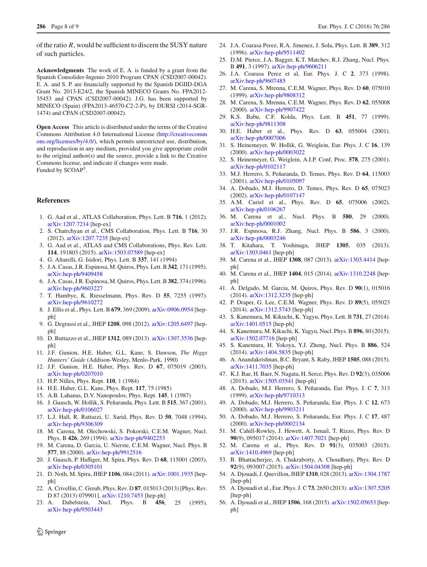of the ratio *R*, would be sufficient to discern the SUSY nature of such particles.

**Acknowledgments** The work of E. A. is funded by a grant from the Spanish Consolider-Ingenio 2010 Program CPAN (CSD2007-00042). E. A. and S. P. are financially supported by the Spanish DGIID-DGA Grant No. 2013-E24/2, the Spanish MINECO Grants No. FPA2012- 35453 and CPAN (CSD2007-00042). J.G. has been supported by MINECO (Spain) (FPA2013-46570-C2-2-P), by DURSI (2014-SGR-1474) and CPAN (CSD2007-00042).

**Open Access** This article is distributed under the terms of the Creative Commons Attribution 4.0 International License [\(http://creativecomm](http://creativecommons.org/licenses/by/4.0/) [ons.org/licenses/by/4.0/\)](http://creativecommons.org/licenses/by/4.0/), which permits unrestricted use, distribution, and reproduction in any medium, provided you give appropriate credit to the original author(s) and the source, provide a link to the Creative Commons license, and indicate if changes were made. Funded by SCOAP3.

## **References**

- <span id="page-7-0"></span>1. G. Aad et al., ATLAS Collaboration, Phys. Lett. B **716**, 1 (2012). [arXiv:1207.7214](http://arxiv.org/abs/1207.7214) [hep-ex]
- <span id="page-7-1"></span>2. S. Chatrchyan et al., CMS Collaboration, Phys. Lett. B **716**, 30 (2012). [arXiv:1207.7235](http://arxiv.org/abs/1207.7235) [hep-ex]
- <span id="page-7-2"></span>3. G. Aad et al., ATLAS and CMS Collaborations, Phys. Rev. Lett. **114**, 191803 (2015). [arXiv:1503.07589](http://arxiv.org/abs/1503.07589) [hep-ex]
- <span id="page-7-3"></span>4. G. Altarelli, G. Isidori, Phys. Lett. B **337**, 141 (1994)
- 5. J.A. Casas, J.R. Espinosa, M. Quiros, Phys. Lett. B**342**, 171 (1995). [arXiv:hep-ph/9409458](http://arxiv.org/abs/hep-ph/9409458)
- 6. J.A. Casas, J.R. Espinosa, M. Quiros, Phys. Lett. B**382**, 374 (1996). [arXiv:hep-ph/9603227](http://arxiv.org/abs/hep-ph/9603227)
- 7. T. Hambye, K. Riesselmann, Phys. Rev. D **55**, 7255 (1997). [arXiv:hep-ph/9610272](http://arxiv.org/abs/hep-ph/9610272)
- 8. J. Ellis et al., Phys. Lett. B **679**, 369 (2009). [arXiv:0906.0954](http://arxiv.org/abs/0906.0954) [hepph]
- 9. G. Degrassi et al., JHEP **1208**, 098 (2012). [arXiv:1205.6497](http://arxiv.org/abs/1205.6497) [hepph]
- <span id="page-7-4"></span>10. D. Buttazzo et al., JHEP **1312**, 089 (2013). [arXiv:1307.3536](http://arxiv.org/abs/1307.3536) [hepph]
- <span id="page-7-5"></span>11. J.F. Gunion, H.E. Haber, G.L. Kane, S. Dawson, *The Higgs Hunters' Guide* (Addison-Wesley, Menlo-Park, 1990)
- <span id="page-7-6"></span>12. J.F. Gunion, H.E. Haber, Phys. Rev. D **67**, 075019 (2003). [arXiv:hep-ph/0207010](http://arxiv.org/abs/hep-ph/0207010)
- <span id="page-7-7"></span>13. H.P. Nilles, Phys. Rept. **110**, 1 (1984)
- 14. H.E. Haber, G.L. Kane, Phys. Rept. **117**, 75 (1985)
- <span id="page-7-8"></span>15. A.B. Lahanas, D.V. Nanopoulos, Phys. Rept. **145**, 1 (1987)
- <span id="page-7-9"></span>16. J. Guasch, W. Hollik, S. Peñaranda, Phys. Lett. B **515**, 367 (2001). [arXiv:hep-ph/0106027](http://arxiv.org/abs/hep-ph/0106027)
- <span id="page-7-16"></span>17. L.J. Hall, R. Rattazzi, U. Sarid, Phys. Rev. D **50**, 7048 (1994). [arXiv:hep-ph/9306309](http://arxiv.org/abs/hep-ph/9306309)
- <span id="page-7-10"></span>18. M. Carena, M. Olechowski, S. Pokorski, C.E.M. Wagner, Nucl. Phys. B **426**, 269 (1994). [arXiv:hep-ph/9402253](http://arxiv.org/abs/hep-ph/9402253)
- <span id="page-7-11"></span>19. M. Carena, D. Garcia, U. Nierste, C.E.M. Wagner, Nucl. Phys. B **577**, 88 (2000). [arXiv:hep-ph/9912516](http://arxiv.org/abs/hep-ph/9912516)
- <span id="page-7-12"></span>20. J. Guasch, P. Hafliger, M. Spira, Phys. Rev. D **68**, 115001 (2003). [arXiv:hep-ph/0305101](http://arxiv.org/abs/hep-ph/0305101)
- <span id="page-7-13"></span>21. D. Noth, M. Spira, JHEP **1106**, 084 (2011). [arXiv:1001.1935](http://arxiv.org/abs/1001.1935) [hepph]
- <span id="page-7-14"></span>22. A. Crivellin, C. Greub, Phys. Rev. D **87**, 015013 (2013) [Phys. Rev. D 87 (2013) 079901]. [arXiv:1210.7453](http://arxiv.org/abs/1210.7453) [hep-ph]
- <span id="page-7-23"></span>23. A. Dabelstein, Nucl. Phys. B **456**, 25 (1995). [arXiv:hep-ph/9503443](http://arxiv.org/abs/hep-ph/9503443)
- <span id="page-7-17"></span>24. J.A. Coarasa Perez, R.A. Jimenez, J. Sola, Phys. Lett. B **389**, 312 (1996). [arXiv:hep-ph/9511402](http://arxiv.org/abs/hep-ph/9511402)
- 25. D.M. Pierce, J.A. Bagger, K.T. Matchev, R.J. Zhang, Nucl. Phys. B **491**, 3 (1997). [arXiv:hep-ph/9606211](http://arxiv.org/abs/hep-ph/9606211)
- <span id="page-7-33"></span>26. J.A. Coarasa Perez et al, Eur. Phys. J. C **2**, 373 (1998). [arXiv:hep-ph/9607485](http://arxiv.org/abs/hep-ph/9607485)
- <span id="page-7-25"></span>27. M. Carena, S. Mrenna, C.E.M. Wagner, Phys. Rev. D **60**, 075010 (1999). [arXiv:hep-ph/9808312](http://arxiv.org/abs/hep-ph/9808312)
- <span id="page-7-26"></span>28. M. Carena, S. Mrenna, C.E.M. Wagner, Phys. Rev. D **62**, 055008 (2000). [arXiv:hep-ph/9907422](http://arxiv.org/abs/hep-ph/9907422)
- <span id="page-7-28"></span>29. K.S. Babu, C.F. Kolda, Phys. Lett. B **451**, 77 (1999). [arXiv:hep-ph/9811308](http://arxiv.org/abs/hep-ph/9811308)
- <span id="page-7-18"></span>30. H.E. Haber et al., Phys. Rev. D **63**, 055004 (2001). [arXiv:hep-ph/0007006](http://arxiv.org/abs/hep-ph/0007006)
- <span id="page-7-24"></span>31. S. Heinemeyer, W. Hollik, G. Weiglein, Eur. Phys. J. C **16**, 139 (2000). [arXiv:hep-ph/0003022](http://arxiv.org/abs/hep-ph/0003022)
- <span id="page-7-27"></span>32. S. Heinemeyer, G. Weiglein, A.I.P. Conf, Proc. **578**, 275 (2001). [arXiv:hep-ph/0102117](http://arxiv.org/abs/hep-ph/0102117)
- <span id="page-7-19"></span>33. M.J. Herrero, S. Peñaranda, D. Temes, Phys. Rev. D **64**, 115003 (2001). [arXiv:hep-ph/0105097](http://arxiv.org/abs/hep-ph/0105097)
- 34. A. Dobado, M.J. Herrero, D. Temes, Phys. Rev. D **65**, 075023 (2002). [arXiv:hep-ph/0107147](http://arxiv.org/abs/hep-ph/0107147)
- <span id="page-7-20"></span>35. A.M. Curiel et al., Phys. Rev. D **65**, 075006 (2002). [arXiv:hep-ph/0106267](http://arxiv.org/abs/hep-ph/0106267)
- 36. M. Carena et al., Nucl. Phys. B **580**, 29 (2000). [arXiv:hep-ph/0001002](http://arxiv.org/abs/hep-ph/0001002)
- 37. J.R. Espinosa, R.J. Zhang, Nucl. Phys. B **586**, 3 (2000). [arXiv:hep-ph/0003246](http://arxiv.org/abs/hep-ph/0003246)
- 38. T. Kitahara, T. Yoshinaga, JHEP **1305**, 035 (2013). [arXiv:1303.0461](http://arxiv.org/abs/1303.0461) [hep-ph]
- 39. M. Carena et al., JHEP **1308**, 087 (2013). [arXiv:1303.4414](http://arxiv.org/abs/1303.4414) [hepph]
- 40. M. Carena et al., JHEP **1404**, 015 (2014). [arXiv:1310.2248](http://arxiv.org/abs/1310.2248) [hepph]
- 41. A. Delgado, M. Garcia, M. Quiros, Phys. Rev. D **90**(1), 015016 (2014). [arXiv:1312.3235](http://arxiv.org/abs/1312.3235) [hep-ph]
- 42. P. Draper, G. Lee, C.E.M. Wagner, Phys. Rev. D **89**(5), 055023 (2014). [arXiv:1312.5743](http://arxiv.org/abs/1312.5743) [hep-ph]
- 43. S. Kanemura, M. Kikuchi, K. Yagyu, Phys. Lett. B **731**, 27 (2014). [arXiv:1401.0515](http://arxiv.org/abs/1401.0515) [hep-ph]
- 44. S. Kanemura, M. Kikuchi, K. Yagyu, Nucl. Phys. B **896**, 80 (2015). [arXiv:1502.07716](http://arxiv.org/abs/1502.07716) [hep-ph]
- 45. S. Kanemura, H. Yokoya, Y.J. Zheng, Nucl. Phys. B **886**, 524 (2014). [arXiv:1404.5835](http://arxiv.org/abs/1404.5835) [hep-ph]
- 46. A. Anandakrishnan, B.C. Bryant, S. Raby, JHEP **1505**, 088 (2015). [arXiv:1411.7035](http://arxiv.org/abs/1411.7035) [hep-ph]
- <span id="page-7-15"></span>47. K.J. Bae, H. Baer, N. Nagata, H. Serce, Phys. Rev. D **92**(3), 035006 (2015). [arXiv:1505.03541](http://arxiv.org/abs/1505.03541) [hep-ph]
- <span id="page-7-21"></span>48. A. Dobado, M.J. Herrero, S. Peñaranda, Eur. Phys. J. C **7**, 313 (1999). [arXiv:hep-ph/9710313](http://arxiv.org/abs/hep-ph/9710313)
- 49. A. Dobado, M.J. Herrero, S. Peñaranda, Eur. Phys. J. C **12**, 673 (2000). [arXiv:hep-ph/9903211](http://arxiv.org/abs/hep-ph/9903211)
- <span id="page-7-22"></span>50. A. Dobado, M.J. Herrero, S. Peñaranda, Eur. Phys. J. C **17**, 487 (2000). [arXiv:hep-ph/0002134](http://arxiv.org/abs/hep-ph/0002134)
- <span id="page-7-29"></span>51. M. Cahill-Rowley, J. Hewett, A. Ismail, T. Rizzo, Phys. Rev. D **90**(9), 095017 (2014). [arXiv:1407.7021](http://arxiv.org/abs/1407.7021) [hep-ph]
- 52. M. Carena et al., Phys. Rev. D **91**(3), 035003 (2015). [arXiv:1410.4969](http://arxiv.org/abs/1410.4969) [hep-ph]
- <span id="page-7-30"></span>53. B. Bhattacherjee, A. Chakraborty, A. Choudhury, Phys. Rev. D **92**(9), 093007 (2015). [arXiv:1504.04308](http://arxiv.org/abs/1504.04308) [hep-ph]
- <span id="page-7-31"></span>54. A. Djouadi, J. Quevillon, JHEP **1310**, 028 (2013). [arXiv:1304.1787](http://arxiv.org/abs/1304.1787) [hep-ph]
- 55. A. Djouadi et al., Eur. Phys. J. C **73**, 2650 (2013). [arXiv:1307.5205](http://arxiv.org/abs/1307.5205) [hep-ph]
- <span id="page-7-32"></span>56. A. Djouadi et al., JHEP **1506**, 168 (2015). [arXiv:1502.05653](http://arxiv.org/abs/1502.05653) [hepph]